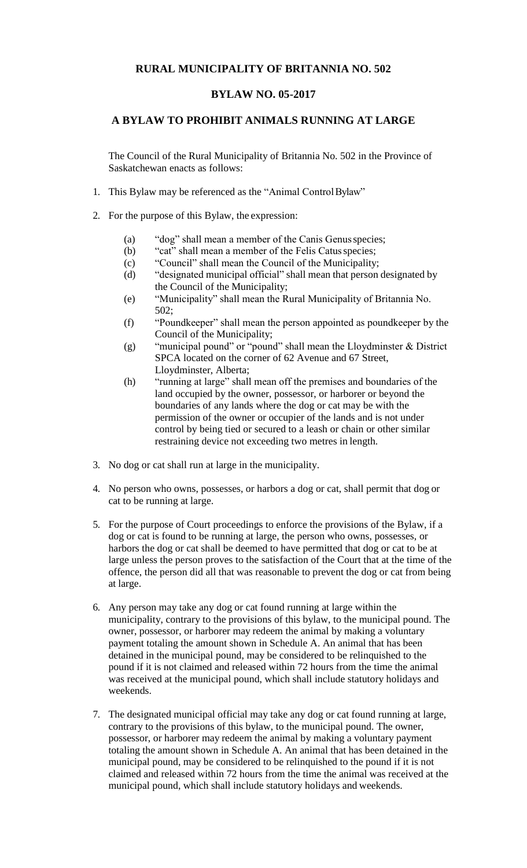## **RURAL MUNICIPALITY OF BRITANNIA NO. 502**

## **BYLAW NO. 05-2017**

## **A BYLAW TO PROHIBIT ANIMALS RUNNING AT LARGE**

The Council of the Rural Municipality of Britannia No. 502 in the Province of Saskatchewan enacts as follows:

- 1. This Bylaw may be referenced as the "Animal ControlBylaw"
- 2. For the purpose of this Bylaw, the expression:
	- (a) "dog" shall mean a member of the Canis Genusspecies;
	- (b) "cat" shall mean a member of the Felis Catus species;
	- (c) "Council" shall mean the Council of the Municipality;
	- (d) "designated municipal official" shall mean that person designated by the Council of the Municipality;
	- (e) "Municipality" shall mean the Rural Municipality of Britannia No. 502;
	- (f) "Poundkeeper" shall mean the person appointed as poundkeeper by the Council of the Municipality;
	- (g) "municipal pound" or "pound" shall mean the Lloydminster & District SPCA located on the corner of 62 Avenue and 67 Street, Lloydminster, Alberta;
	- (h) "running at large" shall mean off the premises and boundaries of the land occupied by the owner, possessor, or harborer or beyond the boundaries of any lands where the dog or cat may be with the permission of the owner or occupier of the lands and is not under control by being tied or secured to a leash or chain or other similar restraining device not exceeding two metres in length.
- 3. No dog or cat shall run at large in the municipality.
- 4. No person who owns, possesses, or harbors a dog or cat, shall permit that dog or cat to be running at large.
- 5. For the purpose of Court proceedings to enforce the provisions of the Bylaw, if a dog or cat is found to be running at large, the person who owns, possesses, or harbors the dog or cat shall be deemed to have permitted that dog or cat to be at large unless the person proves to the satisfaction of the Court that at the time of the offence, the person did all that was reasonable to prevent the dog or cat from being at large.
- 6. Any person may take any dog or cat found running at large within the municipality, contrary to the provisions of this bylaw, to the municipal pound. The owner, possessor, or harborer may redeem the animal by making a voluntary payment totaling the amount shown in Schedule A. An animal that has been detained in the municipal pound, may be considered to be relinquished to the pound if it is not claimed and released within 72 hours from the time the animal was received at the municipal pound, which shall include statutory holidays and weekends.
- 7. The designated municipal official may take any dog or cat found running at large, contrary to the provisions of this bylaw, to the municipal pound. The owner, possessor, or harborer may redeem the animal by making a voluntary payment totaling the amount shown in Schedule A. An animal that has been detained in the municipal pound, may be considered to be relinquished to the pound if it is not claimed and released within 72 hours from the time the animal was received at the municipal pound, which shall include statutory holidays and weekends.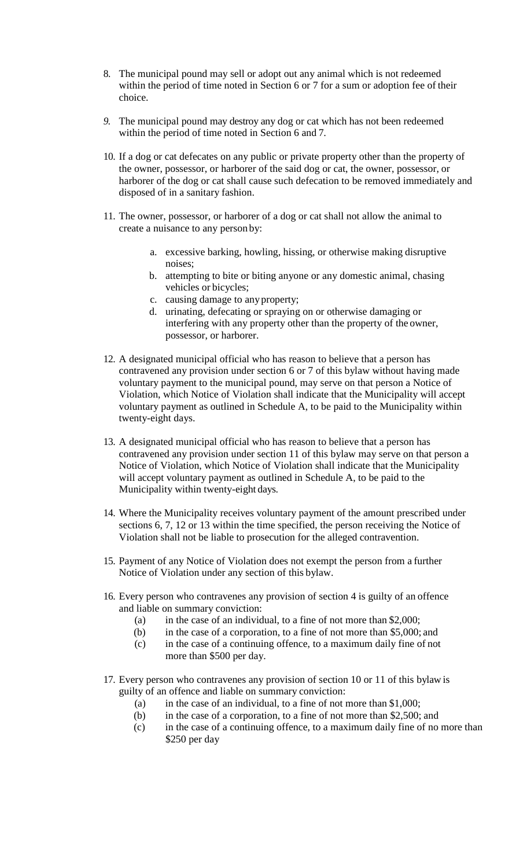- 8. The municipal pound may sell or adopt out any animal which is not redeemed within the period of time noted in Section 6 or 7 for a sum or adoption fee of their choice.
- *9.* The municipal pound may destroy any dog or cat which has not been redeemed within the period of time noted in Section 6 and 7*.*
- 10. If a dog or cat defecates on any public or private property other than the property of the owner, possessor, or harborer of the said dog or cat, the owner, possessor, or harborer of the dog or cat shall cause such defecation to be removed immediately and disposed of in a sanitary fashion.
- 11. The owner, possessor, or harborer of a dog or cat shall not allow the animal to create a nuisance to any person by:
	- a. excessive barking, howling, hissing, or otherwise making disruptive noises;
	- b. attempting to bite or biting anyone or any domestic animal, chasing vehicles or bicycles;
	- c. causing damage to anyproperty;
	- d. urinating, defecating or spraying on or otherwise damaging or interfering with any property other than the property of the owner, possessor, or harborer.
- 12. A designated municipal official who has reason to believe that a person has contravened any provision under section 6 or 7 of this bylaw without having made voluntary payment to the municipal pound, may serve on that person a Notice of Violation, which Notice of Violation shall indicate that the Municipality will accept voluntary payment as outlined in Schedule A, to be paid to the Municipality within twenty-eight days.
- 13. A designated municipal official who has reason to believe that a person has contravened any provision under section 11 of this bylaw may serve on that person a Notice of Violation, which Notice of Violation shall indicate that the Municipality will accept voluntary payment as outlined in Schedule A, to be paid to the Municipality within twenty-eight days.
- 14. Where the Municipality receives voluntary payment of the amount prescribed under sections 6, 7, 12 or 13 within the time specified, the person receiving the Notice of Violation shall not be liable to prosecution for the alleged contravention.
- 15. Payment of any Notice of Violation does not exempt the person from a further Notice of Violation under any section of this bylaw.
- 16. Every person who contravenes any provision of section 4 is guilty of an offence and liable on summary conviction:
	- (a) in the case of an individual, to a fine of not more than \$2,000;
	- (b) in the case of a corporation, to a fine of not more than \$5,000; and
	- (c) in the case of a continuing offence, to a maximum daily fine of not more than \$500 per day.
- 17. Every person who contravenes any provision of section 10 or 11 of this bylaw is guilty of an offence and liable on summary conviction:
	- (a) in the case of an individual, to a fine of not more than  $$1,000$ ;
	- (b) in the case of a corporation, to a fine of not more than \$2,500; and
	- (c) in the case of a continuing offence, to a maximum daily fine of no more than \$250 per day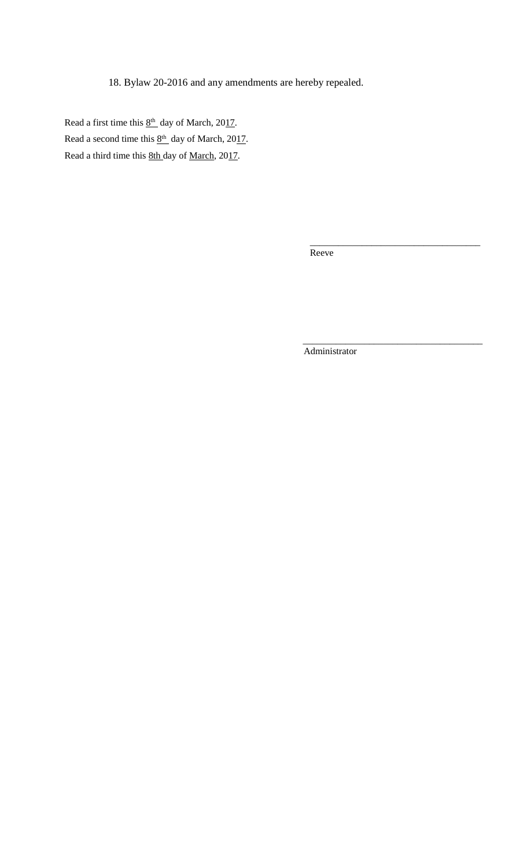18. Bylaw 20-2016 and any amendments are hereby repealed.

Read a first time this  $8<sup>th</sup>$  day of March, 2017. Read a second time this  $8<sup>th</sup>$  day of March, 2017. Read a third time this 8th day of March, 2017.

> $\overline{\phantom{a}}$  , and the contract of the contract of the contract of the contract of the contract of the contract of the contract of the contract of the contract of the contract of the contract of the contract of the contrac Reeve

> > Administrator

 $\overline{\phantom{a}}$  ,  $\overline{\phantom{a}}$  ,  $\overline{\phantom{a}}$  ,  $\overline{\phantom{a}}$  ,  $\overline{\phantom{a}}$  ,  $\overline{\phantom{a}}$  ,  $\overline{\phantom{a}}$  ,  $\overline{\phantom{a}}$  ,  $\overline{\phantom{a}}$  ,  $\overline{\phantom{a}}$  ,  $\overline{\phantom{a}}$  ,  $\overline{\phantom{a}}$  ,  $\overline{\phantom{a}}$  ,  $\overline{\phantom{a}}$  ,  $\overline{\phantom{a}}$  ,  $\overline{\phantom{a}}$